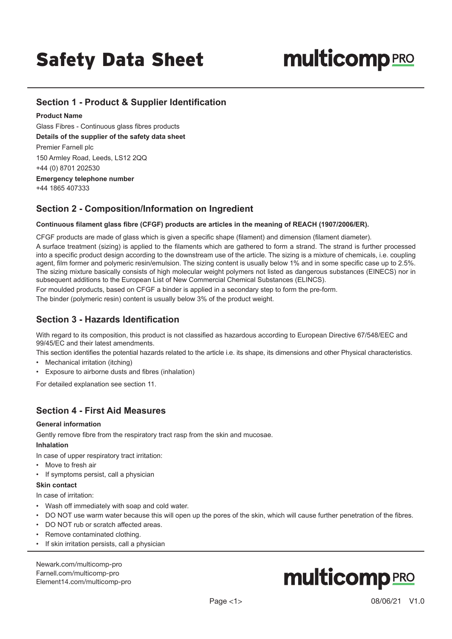## **Section 1 - Product & Supplier Identification**

#### **Product Name**

Glass Fibres - Continuous glass fibres products

**Details of the supplier of the safety data sheet**

Premier Farnell plc

150 Armley Road, Leeds, LS12 2QQ

+44 (0) 8701 202530

**Emergency telephone number** +44 1865 407333

## **Section 2 - Composition/Information on Ingredient**

#### **Continuous filament glass fibre (CFGF) products are articles in the meaning of REACH (1907/2006/ER).**

CFGF products are made of glass which is given a specific shape (filament) and dimension (filament diameter).

A surface treatment (sizing) is applied to the filaments which are gathered to form a strand. The strand is further processed into a specific product design according to the downstream use of the article. The sizing is a mixture of chemicals, i.e. coupling agent, film former and polymeric resin/emulsion. The sizing content is usually below 1% and in some specific case up to 2.5%. The sizing mixture basically consists of high molecular weight polymers not listed as dangerous substances (EINECS) nor in subsequent additions to the European List of New Commercial Chemical Substances (ELINCS).

For moulded products, based on CFGF a binder is applied in a secondary step to form the pre-form.

The binder (polymeric resin) content is usually below 3% of the product weight.

## **Section 3 - Hazards Identification**

With regard to its composition, this product is not classified as hazardous according to European Directive 67/548/EEC and 99/45/EC and their latest amendments.

This section identifies the potential hazards related to the article i.e. its shape, its dimensions and other Physical characteristics.

- Mechanical irritation (itching)
- Exposure to airborne dusts and fibres (inhalation)

For detailed explanation see section 11.

## **Section 4 - First Aid Measures**

#### **General information**

Gently remove fibre from the respiratory tract rasp from the skin and mucosae.

#### **Inhalation**

In case of upper respiratory tract irritation:

- Move to fresh air
- If symptoms persist, call a physician

#### **Skin contact**

In case of irritation:

- Wash off immediately with soap and cold water.
- DO NOT use warm water because this will open up the pores of the skin, which will cause further penetration of the fibres.
- DO NOT rub or scratch affected areas.
- Remove contaminated clothing.
- If skin irritation persists, call a physician

[Newark.com/multicomp-](https://www.newark.com/multicomp-pro)pro [Farnell.com/multicomp](https://www.farnell.com/multicomp-pro)-pro [Element14.com/multicomp-pro](https://element14.com/multicomp-pro)

# **multicomp**PRO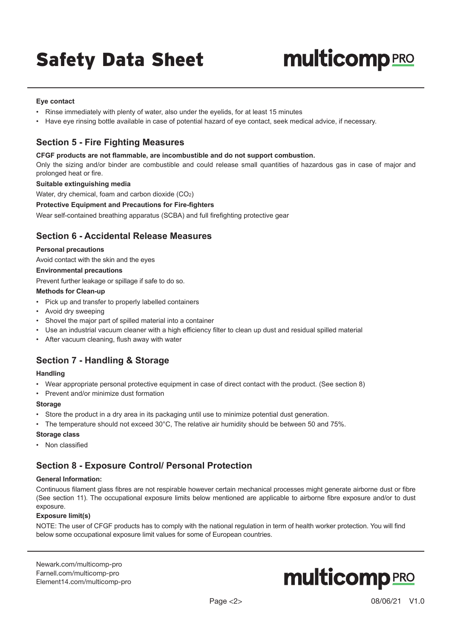# **multicomp** PRO

#### **Eye contact**

- Rinse immediately with plenty of water, also under the eyelids, for at least 15 minutes
- Have eye rinsing bottle available in case of potential hazard of eye contact, seek medical advice, if necessary.

## **Section 5 - Fire Fighting Measures**

#### **CFGF products are not flammable, are incombustible and do not support combustion.**

Only the sizing and/or binder are combustible and could release small quantities of hazardous gas in case of major and prolonged heat or fire.

#### **Suitable extinguishing media**

Water, dry chemical, foam and carbon dioxide (CO2)

#### **Protective Equipment and Precautions for Fire-fighters**

Wear self-contained breathing apparatus (SCBA) and full firefighting protective gear

### **Section 6 - Accidental Release Measures**

#### **Personal precautions**

Avoid contact with the skin and the eyes

#### **Environmental precautions**

Prevent further leakage or spillage if safe to do so.

#### **Methods for Clean-up**

- Pick up and transfer to properly labelled containers
- Avoid dry sweeping
- Shovel the major part of spilled material into a container
- Use an industrial vacuum cleaner with a high efficiency filter to clean up dust and residual spilled material
- After vacuum cleaning, flush away with water

## **Section 7 - Handling & Storage**

#### **Handling**

- Wear appropriate personal protective equipment in case of direct contact with the product. (See section 8)
- Prevent and/or minimize dust formation

#### **Storage**

• Store the product in a dry area in its packaging until use to minimize potential dust generation.

• The temperature should not exceed 30°C, The relative air humidity should be between 50 and 75%.

#### **Storage class**

• Non classified

## **Section 8 - Exposure Control/ Personal Protection**

#### **General Information:**

Continuous filament glass fibres are not respirable however certain mechanical processes might generate airborne dust or fibre (See section 11). The occupational exposure limits below mentioned are applicable to airborne fibre exposure and/or to dust exposure.

#### **Exposure limit(s)**

NOTE: The user of CFGF products has to comply with the national regulation in term of health worker protection. You will find below some occupational exposure limit values for some of European countries.

[Newark.com/multicomp-](https://www.newark.com/multicomp-pro)pro [Farnell.com/multicomp](https://www.farnell.com/multicomp-pro)-pro [Element14.com/multicomp-pro](https://element14.com/multicomp-pro)

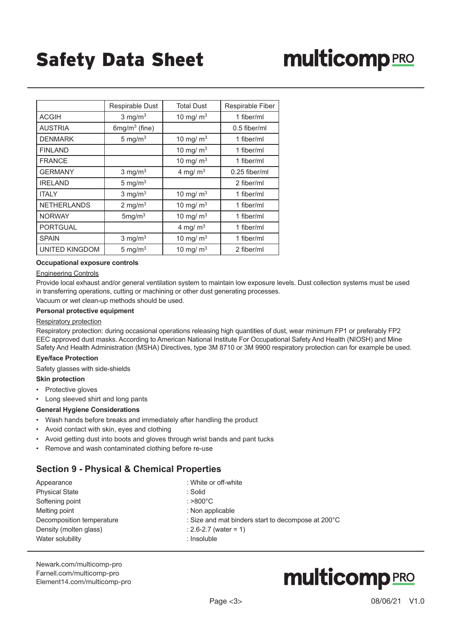|                       | Respirable Dust    | <b>Total Dust</b> | Respirable Fiber |
|-----------------------|--------------------|-------------------|------------------|
| <b>ACGIH</b>          | 3 mg/m $3$         | 10 mg/ $m3$       | 1 fiber/ml       |
| <b>AUSTRIA</b>        | 6mg/m $3$ (fine)   |                   | $0.5$ fiber/ml   |
| <b>DENMARK</b>        | 5 mg/m $3$         | 10 mg/ $m3$       | 1 fiber/ml       |
| <b>FINLAND</b>        |                    | 10 mg/ $m3$       | 1 fiber/ml       |
| <b>FRANCE</b>         |                    | 10 mg/ $m3$       | 1 fiber/ml       |
| <b>GERMANY</b>        | 3 mg/m $3$         | 4 mg/ $m3$        | $0.25$ fiber/ml  |
| <b>IRELAND</b>        | 5 mg/m $3$         |                   | 2 fiber/ml       |
| <b>ITALY</b>          | 3 mg/ $m3$         | 10 mg/ $m3$       | 1 fiber/ml       |
| <b>NETHERLANDS</b>    | 2 mg/m $3$         | 10 mg/ $m3$       | 1 fiber/ml       |
| <b>NORWAY</b>         | 5mg/m <sup>3</sup> | 10 mg/ $m3$       | 1 fiber/ml       |
| <b>PORTGUAL</b>       |                    | 4 mg/ $m3$        | 1 fiber/ml       |
| <b>SPAIN</b>          | 3 mg/m $3$         | 10 mg/ $m3$       | 1 fiber/ml       |
| <b>UNITED KINGDOM</b> | 5 mg/ $m3$         | 10 mg/ $m3$       | 2 fiber/ml       |

#### **Occupational exposure controls**

#### Engineering Controls

Provide local exhaust and/or general ventilation system to maintain low exposure levels. Dust collection systems must be used in transferring operations, cutting or machining or other dust generating processes.

Vacuum or wet clean-up methods should be used.

#### **Personal protective equipment**

#### Respiratory protection

Respiratory protection: during occasional operations releasing high quantities of dust, wear minimum FP1 or preferably FP2 EEC approved dust masks. According to American National Institute For Occupational Safety And Health (NIOSH) and Mine Safety And Health Administration (MSHA) Directives, type 3M 8710 or 3M 9900 respiratory protection can for example be used.

#### **Eye/face Protection**

Safety glasses with side-shields

#### **Skin protection**

- Protective gloves
- Long sleeved shirt and long pants

#### **General Hygiene Considerations**

- Wash hands before breaks and immediately after handling the product
- Avoid contact with skin, eyes and clothing
- Avoid getting dust into boots and gloves through wrist bands and pant tucks
- Remove and wash contaminated clothing before re-use

## **Section 9 - Physical & Chemical Properties**

| Appearance                | : White or off-white                               |
|---------------------------|----------------------------------------------------|
| <b>Physical State</b>     | : Solid                                            |
| Softening point           | : $>800^{\circ}$ C                                 |
| Melting point             | : Non applicable                                   |
| Decomposition temperature | : Size and mat binders start to decompose at 200°C |
| Density (molten glass)    | : 2.6-2.7 (water = 1)                              |
| Water solubility          | : Insoluble                                        |

[Newark.com/multicomp-](https://www.newark.com/multicomp-pro)pro [Farnell.com/multicomp](https://www.farnell.com/multicomp-pro)-pro [Element14.com/multicomp-pro](https://element14.com/multicomp-pro)

## **multicomp**PRO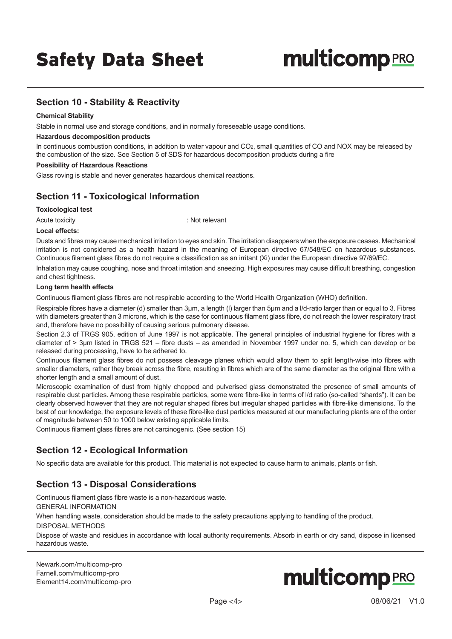# **multicomp**PRO

## **Section 10 - Stability & Reactivity**

#### **Chemical Stability**

Stable in normal use and storage conditions, and in normally foreseeable usage conditions.

#### **Hazardous decomposition products**

In continuous combustion conditions, in addition to water vapour and CO2, small quantities of CO and NOX may be released by the combustion of the size. See Section 5 of SDS for hazardous decomposition products during a fire

#### **Possibility of Hazardous Reactions**

Glass roving is stable and never generates hazardous chemical reactions.

## **Section 11 - Toxicological Information**

#### **Toxicological test**

Acute toxicity in the set of the set of the set of the set of the set of the set of the set of the set of the set of the set of the set of the set of the set of the set of the set of the set of the set of the set of the se

#### **Local effects:**

Dusts and fibres may cause mechanical irritation to eyes and skin. The irritation disappears when the exposure ceases. Mechanical irritation is not considered as a health hazard in the meaning of European directive 67/548/EC on hazardous substances. Continuous filament glass fibres do not require a classification as an irritant (Xi) under the European directive 97/69/EC.

Inhalation may cause coughing, nose and throat irritation and sneezing. High exposures may cause difficult breathing, congestion and chest tightness.

#### **Long term health effects**

Continuous filament glass fibres are not respirable according to the World Health Organization (WHO) definition.

Respirable fibres have a diameter (d) smaller than 3μm, a length (l) larger than 5μm and a l/d-ratio larger than or equal to 3. Fibres with diameters greater than 3 microns, which is the case for continuous filament glass fibre, do not reach the lower respiratory tract and, therefore have no possibility of causing serious pulmonary disease.

Section 2.3 of TRGS 905, edition of June 1997 is not applicable. The general principles of industrial hygiene for fibres with a diameter of > 3μm listed in TRGS 521 – fibre dusts – as amended in November 1997 under no. 5, which can develop or be released during processing, have to be adhered to.

Continuous filament glass fibres do not possess cleavage planes which would allow them to split length-wise into fibres with smaller diameters, rather they break across the fibre, resulting in fibres which are of the same diameter as the original fibre with a shorter length and a small amount of dust.

Microscopic examination of dust from highly chopped and pulverised glass demonstrated the presence of small amounts of respirable dust particles. Among these respirable particles, some were fibre-like in terms of l/d ratio (so-called "shards"). It can be clearly observed however that they are not regular shaped fibres but irregular shaped particles with fibre-like dimensions. To the best of our knowledge, the exposure levels of these fibre-like dust particles measured at our manufacturing plants are of the order of magnitude between 50 to 1000 below existing applicable limits.

Continuous filament glass fibres are not carcinogenic. (See section 15)

## **Section 12 - Ecological Information**

No specific data are available for this product. This material is not expected to cause harm to animals, plants or fish.

## **Section 13 - Disposal Considerations**

Continuous filament glass fibre waste is a non-hazardous waste.

GENERAL INFORMATION

When handling waste, consideration should be made to the safety precautions applying to handling of the product.

DISPOSAL METHODS

Dispose of waste and residues in accordance with local authority requirements. Absorb in earth or dry sand, dispose in licensed hazardous waste.

[Newark.com/multicomp-](https://www.newark.com/multicomp-pro)pro [Farnell.com/multicomp](https://www.farnell.com/multicomp-pro)-pro [Element14.com/multicomp-pro](https://element14.com/multicomp-pro)